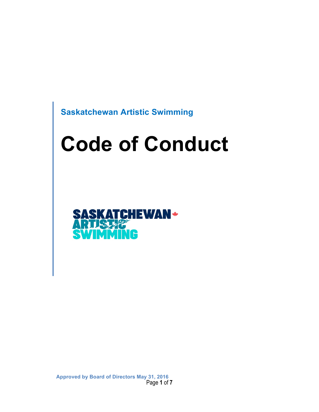**Saskatchewan Artistic Swimming**

# **Code of Conduct**



Page **1** of **7 Approved by Board of Directors May 31, 2016**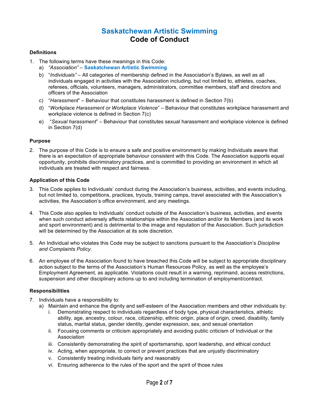## **Saskatchewan Artistic Swimming Code of Conduct**

#### **Definitions**

- 1. The following terms have these meanings in this Code:
	- a) *"Association"* **Saskatchewan Artistic Swimming**
	- b) "*Individuals"* All categories of membership defined in the Association's Bylaws, as well as all individuals engaged in activities with the Association including, but not limited to, athletes, coaches, referees, officials, volunteers, managers, administrators, committee members, staff and directors and officers of the Association
	- c) "*Harassment*" Behaviour that constitutes harassment is defined in Section 7(b)
	- d) "*Workplace Harassment or Workplace Violence*" Behaviour that constitutes workplace harassment and workplace violence is defined in Section 7(c)
	- e) "*Sexual harassment*" Behaviour that constitutes sexual harassment and workplace violence is defined in Section 7(d)

#### **Purpose**

2. The purpose of this Code is to ensure a safe and positive environment by making Individuals aware that there is an expectation of appropriate behaviour consistent with this Code. The Association supports equal opportunity, prohibits discriminatory practices, and is committed to providing an environment in which all individuals are treated with respect and fairness.

#### **Application of this Code**

- 3. This Code applies to Individuals' conduct during the Association's business, activities, and events including, but not limited to, competitions, practices, tryouts, training camps, travel associated with the Association's activities, the Association's office environment, and any meetings.
- 4. This Code also applies to Individuals' conduct outside of the Association's business, activities, and events when such conduct adversely affects relationships within the Association and/or its Members (and its work and sport environment) and is detrimental to the image and reputation of the Association. Such jurisdiction will be determined by the Association at its sole discretion.
- 5. An Individual who violates this Code may be subject to sanctions pursuant to the Association's *Discipline and Complaints Policy*.
- 6. An employee of the Association found to have breached this Code will be subject to appropriate disciplinary action subject to the terms of the Association's Human Resources Policy*,* as well as the employee's Employment Agreement, as applicable. Violations could result in a warning, reprimand, access restrictions, suspension and other disciplinary actions up to and including termination of employment/contract.

#### **Responsibilities**

- 7. Individuals have a responsibility to:
	- a) Maintain and enhance the dignity and self-esteem of the Association members and other individuals by:
		- Demonstrating respect to individuals regardless of body type, physical characteristics, athletic ability, age, ancestry, colour, race, citizenship, ethnic origin, place of origin, creed, disability, family status, marital status, gender identity, gender expression, sex, and sexual orientation
		- ii. Focusing comments or criticism appropriately and avoiding public criticism of Individual or the Association
		- iii. Consistently demonstrating the spirit of sportsmanship, sport leadership, and ethical conduct
		- iv. Acting, when appropriate, to correct or prevent practices that are unjustly discriminatory
		- v. Consistently treating individuals fairly and reasonably
		- vi. Ensuring adherence to the rules of the sport and the spirit of those rules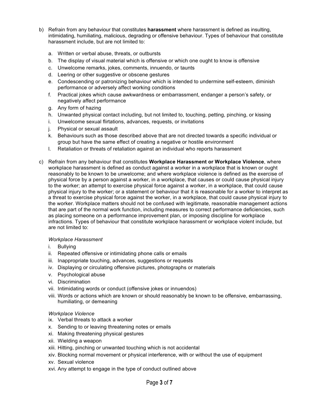- b) Refrain from any behaviour that constitutes **harassment** where harassment is defined as insulting, intimidating, humiliating, malicious, degrading or offensive behaviour. Types of behaviour that constitute harassment include, but are not limited to:
	- a. Written or verbal abuse, threats, or outbursts
	- b. The display of visual material which is offensive or which one ought to know is offensive
	- c. Unwelcome remarks, jokes, comments, innuendo, or taunts
	- d. Leering or other suggestive or obscene gestures
	- e. Condescending or patronizing behaviour which is intended to undermine self-esteem, diminish performance or adversely affect working conditions
	- f. Practical jokes which cause awkwardness or embarrassment, endanger a person's safety, or negatively affect performance
	- g. Any form of hazing
	- h. Unwanted physical contact including, but not limited to, touching, petting, pinching, or kissing
	- i. Unwelcome sexual flirtations, advances, requests, or invitations
	- j. Physical or sexual assault
	- k. Behaviours such as those described above that are not directed towards a specific individual or group but have the same effect of creating a negative or hostile environment
	- l. Retaliation or threats of retaliation against an individual who reports harassment
- c) Refrain from any behaviour that constitutes **Workplace Harassment or Workplace Violence**, where workplace harassment is defined as conduct against a worker in a workplace that is known or ought reasonably to be known to be unwelcome; and where workplace violence is defined as the exercise of physical force by a person against a worker, in a workplace, that causes or could cause physical injury to the worker; an attempt to exercise physical force against a worker, in a workplace, that could cause physical injury to the worker; or a statement or behaviour that it is reasonable for a worker to interpret as a threat to exercise physical force against the worker, in a workplace, that could cause physical injury to the worker. Workplace matters should not be confused with legitimate, reasonable management actions that are part of the normal work function, including measures to correct performance deficiencies, such as placing someone on a performance improvement plan, or imposing discipline for workplace infractions. Types of behaviour that constitute workplace harassment or workplace violent include, but are not limited to:

#### *Workplace Harassment*

- i. Bullying
- ii. Repeated offensive or intimidating phone calls or emails
- iii. Inappropriate touching, advances, suggestions or requests
- iv. Displaying or circulating offensive pictures, photographs or materials
- v. Psychological abuse
- vi. Discrimination
- vii. Intimidating words or conduct (offensive jokes or innuendos)
- viii. Words or actions which are known or should reasonably be known to be offensive, embarrassing, humiliating, or demeaning

#### *Workplace Violence*

- ix. Verbal threats to attack a worker
- x. Sending to or leaving threatening notes or emails
- xi. Making threatening physical gestures
- xii. Wielding a weapon
- xiii. Hitting, pinching or unwanted touching which is not accidental
- xiv. Blocking normal movement or physical interference, with or without the use of equipment
- xv. Sexual violence
- xvi. Any attempt to engage in the type of conduct outlined above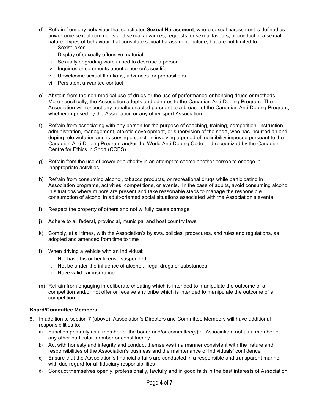- d) Refrain from any behaviour that constitutes **Sexual Harassment**, where sexual harassment is defined as unwelcome sexual comments and sexual advances, requests for sexual favours, or conduct of a sexual nature. Types of behaviour that constitute sexual harassment include, but are not limited to:
	- i. Sexist jokes
	- ii. Display of sexually offensive material
	- iii. Sexually degrading words used to describe a person
	- iv. Inquiries or comments about a person's sex life
	- v. Unwelcome sexual flirtations, advances, or propositions
	- vi. Persistent unwanted contact
- e) Abstain from the non-medical use of drugs or the use of performance-enhancing drugs or methods. More specifically, the Association adopts and adheres to the Canadian Anti-Doping Program. The Association will respect any penalty enacted pursuant to a breach of the Canadian Anti-Doping Program, whether imposed by the Association or any other sport Association
- f) Refrain from associating with any person for the purpose of coaching, training, competition, instruction, administration, management, athletic development, or supervision of the sport, who has incurred an antidoping rule violation and is serving a sanction involving a period of ineligibility imposed pursuant to the Canadian Anti-Doping Program and/or the World Anti-Doping Code and recognized by the Canadian Centre for Ethics in Sport (CCES)
- g) Refrain from the use of power or authority in an attempt to coerce another person to engage in inappropriate activities
- h) Refrain from consuming alcohol, tobacco products, or recreational drugs while participating in Association programs, activities, competitions, or events. In the case of adults, avoid consuming alcohol in situations where minors are present and take reasonable steps to manage the responsible consumption of alcohol in adult-oriented social situations associated with the Association's events
- i) Respect the property of others and not wilfully cause damage
- j) Adhere to all federal, provincial, municipal and host country laws
- k) Comply, at all times, with the Association's bylaws, policies, procedures, and rules and regulations, as adopted and amended from time to time
- l) When driving a vehicle with an Individual:
	- i. Not have his or her license suspended
	- ii. Not be under the influence of alcohol, illegal drugs or substances
	- iii. Have valid car insurance
- m) Refrain from engaging in deliberate cheating which is intended to manipulate the outcome of a competition and/or not offer or receive any bribe which is intended to manipulate the outcome of a competition.

#### **Board/Committee Members**

- 8. In addition to section 7 (above), Association's Directors and Committee Members will have additional responsibilities to:
	- a) Function primarily as a member of the board and/or committee(s) of Association; not as a member of any other particular member or constituency
	- b) Act with honesty and integrity and conduct themselves in a manner consistent with the nature and responsibilities of the Association's business and the maintenance of Individuals' confidence
	- c) Ensure that the Association's financial affairs are conducted in a responsible and transparent manner with due regard for all fiduciary responsibilities
	- d) Conduct themselves openly, professionally, lawfully and in good faith in the best interests of Association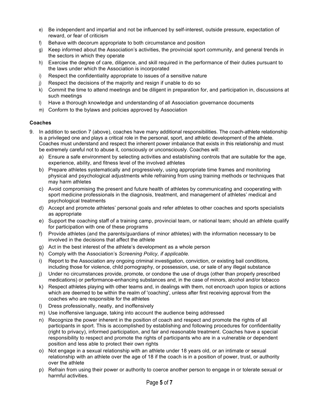- e) Be independent and impartial and not be influenced by self-interest, outside pressure, expectation of reward, or fear of criticism
- f) Behave with decorum appropriate to both circumstance and position
- g) Keep informed about the Association's activities, the provincial sport community, and general trends in the sectors in which they operate
- h) Exercise the degree of care, diligence, and skill required in the performance of their duties pursuant to the laws under which the Association is incorporated
- i) Respect the confidentiality appropriate to issues of a sensitive nature
- j) Respect the decisions of the majority and resign if unable to do so
- k) Commit the time to attend meetings and be diligent in preparation for, and participation in, discussions at such meetings
- l) Have a thorough knowledge and understanding of all Association governance documents
- m) Conform to the bylaws and policies approved by Association

#### **Coaches**

- 9. In addition to section 7 (above), coaches have many additional responsibilities. The coach-athlete relationship is a privileged one and plays a critical role in the personal, sport, and athletic development of the athlete. Coaches must understand and respect the inherent power imbalance that exists in this relationship and must be extremely careful not to abuse it, consciously or unconsciously. Coaches will:
	- a) Ensure a safe environment by selecting activities and establishing controls that are suitable for the age, experience, ability, and fitness level of the involved athletes
	- b) Prepare athletes systematically and progressively, using appropriate time frames and monitoring physical and psychological adjustments while refraining from using training methods or techniques that may harm athletes
	- c) Avoid compromising the present and future health of athletes by communicating and cooperating with sport medicine professionals in the diagnosis, treatment, and management of athletes' medical and psychological treatments
	- d) Accept and promote athletes' personal goals and refer athletes to other coaches and sports specialists as appropriate
	- e) Support the coaching staff of a training camp, provincial team, or national team; should an athlete qualify for participation with one of these programs
	- f) Provide athletes (and the parents/guardians of minor athletes) with the information necessary to be involved in the decisions that affect the athlete
	- g) Act in the best interest of the athlete's development as a whole person
	- h) Comply with the Association's *Screening Policy, if applicable.*
	- i) Report to the Association any ongoing criminal investigation, conviction, or existing bail conditions, including those for violence, child pornography, or possession, use, or sale of any illegal substance
	- j) Under no circumstances provide, promote, or condone the use of drugs (other than properly prescribed medications) or performance-enhancing substances and, in the case of minors, alcohol and/or tobacco
	- k) Respect athletes playing with other teams and, in dealings with them, not encroach upon topics or actions which are deemed to be within the realm of 'coaching', unless after first receiving approval from the coaches who are responsible for the athletes
	- l) Dress professionally, neatly, and inoffensively
	- m) Use inoffensive language, taking into account the audience being addressed
	- n) Recognize the power inherent in the position of coach and respect and promote the rights of all participants in sport. This is accomplished by establishing and following procedures for confidentiality (right to privacy), informed participation, and fair and reasonable treatment. Coaches have a special responsibility to respect and promote the rights of participants who are in a vulnerable or dependent position and less able to protect their own rights
	- o) Not engage in a sexual relationship with an athlete under 18 years old, or an intimate or sexual relationship with an athlete over the age of 18 if the coach is in a position of power, trust, or authority over the athlete
	- p) Refrain from using their power or authority to coerce another person to engage in or tolerate sexual or harmful activities.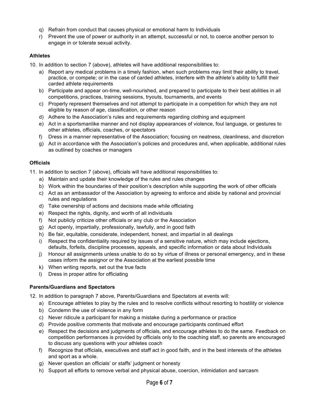- q) Refrain from conduct that causes physical or emotional harm to Individuals
- r) Prevent the use of power or authority in an attempt, successful or not, to coerce another person to engage in or tolerate sexual activity.

### **Athletes**

- 10. In addition to section 7 (above), athletes will have additional responsibilities to:
	- a) Report any medical problems in a timely fashion, when such problems may limit their ability to travel, practice, or compete; or in the case of carded athletes, interfere with the athlete's ability to fulfill their carded athlete requirements
	- b) Participate and appear on-time, well-nourished, and prepared to participate to their best abilities in all competitions, practices, training sessions, tryouts, tournaments, and events
	- c) Properly represent themselves and not attempt to participate in a competition for which they are not eligible by reason of age, classification, or other reason
	- d) Adhere to the Association's rules and requirements regarding clothing and equipment
	- e) Act in a sportsmanlike manner and not display appearances of violence, foul language, or gestures to other athletes, officials, coaches, or spectators
	- f) Dress in a manner representative of the Association; focusing on neatness, cleanliness, and discretion
	- g) Act in accordance with the Association's policies and procedures and, when applicable, additional rules as outlined by coaches or managers

### **Officials**

- 11. In addition to section 7 (above), officials will have additional responsibilities to:
	- a) Maintain and update their knowledge of the rules and rules changes
	- b) Work within the boundaries of their position's description while supporting the work of other officials
	- c) Act as an ambassador of the Association by agreeing to enforce and abide by national and provincial rules and regulations
	- d) Take ownership of actions and decisions made while officiating
	- e) Respect the rights, dignity, and worth of all individuals
	- f) Not publicly criticize other officials or any club or the Association
	- g) Act openly, impartially, professionally, lawfully, and in good faith
	- h) Be fair, equitable, considerate, independent, honest, and impartial in all dealings
	- i) Respect the confidentiality required by issues of a sensitive nature, which may include ejections, defaults, forfeits, discipline processes, appeals, and specific information or data about Individuals
	- j) Honour all assignments unless unable to do so by virtue of illness or personal emergency, and in these cases inform the assignor or the Association at the earliest possible time
	- k) When writing reports, set out the true facts
	- l) Dress in proper attire for officiating

#### **Parents/Guardians and Spectators**

12. In addition to paragraph 7 above, Parents/Guardians and Spectators at events will:

- a) Encourage athletes to play by the rules and to resolve conflicts without resorting to hostility or violence
- b) Condemn the use of violence in any form
- c) Never ridicule a participant for making a mistake during a performance or practice
- d) Provide positive comments that motivate and encourage participants continued effort
- e) Respect the decisions and judgments of officials, and encourage athletes to do the same. Feedback on competition performances is provided by officials only to the coaching staff, so parents are encouraged to discuss any questions with your athletes coach
- f) Recognize that officials, executives and staff act in good faith, and in the best interests of the athletes and sport as a whole.
- g) Never question an officials' or staffs' judgment or honesty
- h) Support all efforts to remove verbal and physical abuse, coercion, intimidation and sarcasm